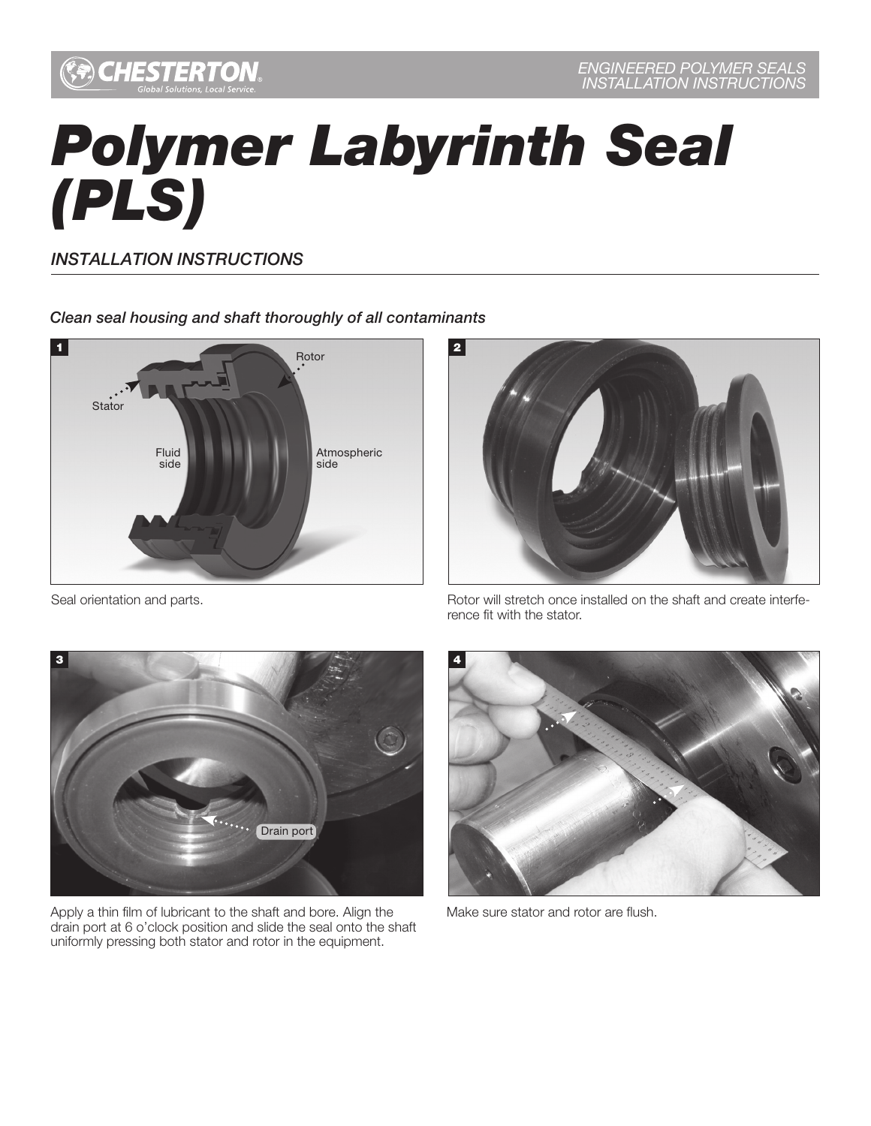

## *Polymer Labyrinth Seal (PLS)*

*INSTALLATION INSTRUCTIONS*

## *Clean seal housing and shaft thoroughly of all contaminants*





Seal orientation and parts.

Rotor will stretch once installed on the shaft and create interference fit with the stator.



Apply a thin film of lubricant to the shaft and bore. Align the drain port at 6 o'clock position and slide the seal onto the shaft uniformly pressing both stator and rotor in the equipment.



Make sure stator and rotor are flush.